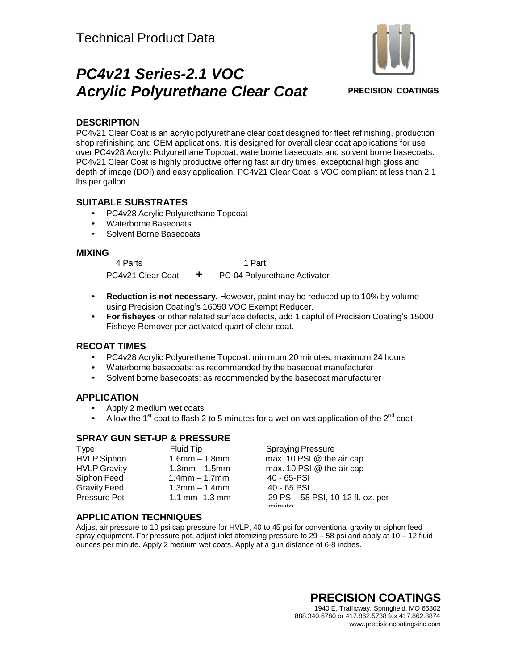# *PC4v21 Series-2.1 VOC Acrylic Polyurethane Clear Coat*



**PRECISION COATINGS** 

### **DESCRIPTION**

PC4v21 Clear Coat is an acrylic polyurethane clear coat designed for fleet refinishing, production shop refinishing and OEM applications. It is designed for overall clear coat applications for use over PC4v28 Acrylic Polyurethane Topcoat, waterborne basecoats and solvent borne basecoats. PC4v21 Clear Coat is highly productive offering fast air dry times, exceptional high gloss and depth of image (DOI) and easy application. PC4v21 Clear Coat is VOC compliant at less than 2.1 lbs per gallon.

### **SUITABLE SUBSTRATES**

- PC4v28 Acrylic Polyurethane Topcoat
- Waterborne Basecoats
- Solvent Borne Basecoats

### **MIXING**

4 Parts 1 Part PC4v21 Clear Coat **+** PC-04 Polyurethane Activator

- **Reduction is not necessary.** However, paint may be reduced up to 10% by volume using Precision Coating's 16050 VOC Exempt Reducer.
- **For fisheyes** or other related surface defects, add 1 capful of Precision Coating's 15000 Fisheye Remover per activated quart of clear coat.

### **RECOAT TIMES**

- PC4v28 Acrylic Polyurethane Topcoat: minimum 20 minutes, maximum 24 hours
- Waterborne basecoats: as recommended by the basecoat manufacturer
- Solvent borne basecoats: as recommended by the basecoat manufacturer

### **APPLICATION**

- Apply 2 medium wet coats
- Allow the 1<sup>st</sup> coat to flash 2 to 5 minutes for a wet on wet application of the 2<sup>nd</sup> coat

### **SPRAY GUN SET-UP & PRESSURE**

| <u>Type</u>         | Fluid Tip           | <b>Spraying Pressure</b>                               |  |
|---------------------|---------------------|--------------------------------------------------------|--|
| <b>HVLP Siphon</b>  | $1.6$ mm $- 1.8$ mm | max. 10 PSI @ the air cap                              |  |
| <b>HVLP Gravity</b> | $1.3$ mm $-1.5$ mm  | max. 10 PSI @ the air cap                              |  |
| Siphon Feed         | $1.4$ mm $-1.7$ mm  | 40 - 65-PSI                                            |  |
| <b>Gravity Feed</b> | $1.3$ mm $-1.4$ mm  | $40 - 65$ PSI                                          |  |
| Pressure Pot        | 1.1 mm- $1.3$ mm    | 29 PSI - 58 PSI, 10-12 fl. oz. per<br>min <sub>1</sub> |  |

### **APPLICATION TECHNIQUES**

Adjust air pressure to 10 psi cap pressure for HVLP, 40 to 45 psi for conventional gravity or siphon feed spray equipment. For pressure pot, adjust inlet atomizing pressure to 29 – 58 psi and apply at 10 – 12 fluid ounces per minute. Apply 2 medium wet coats. Apply at a gun distance of 6-8 inches.

#### **PRECISION COATINGS** 1940 E. Trafficway, Springfield, MO 65802 888.340.6780 or 417.862.5738 fax 417.862.8874 [www.precisioncoatingsinc.com](http://www.precisioncoatingsinc.com/)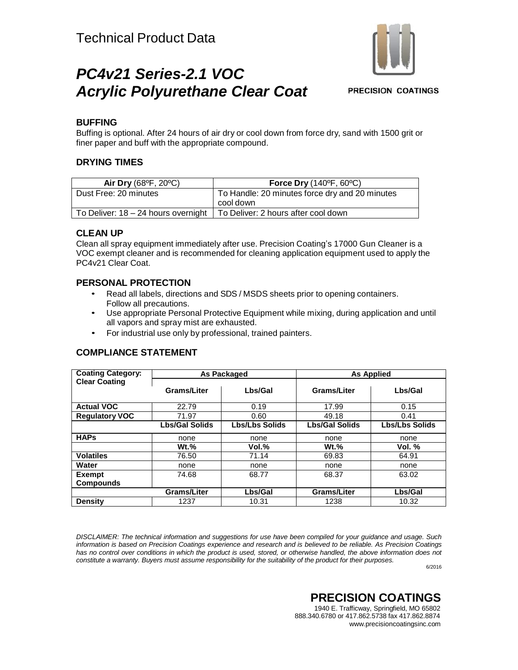# *PC4v21 Series-2.1 VOC Acrylic Polyurethane Clear Coat*

**PRECISION COATINGS** 

### **BUFFING**

Buffing is optional. After 24 hours of air dry or cool down from force dry, sand with 1500 grit or finer paper and buff with the appropriate compound.

### **DRYING TIMES**

| Air Dry (68°F, 20°C)                                                        | <b>Force Dry (140°F, 60°C)</b>                 |  |
|-----------------------------------------------------------------------------|------------------------------------------------|--|
| Dust Free: 20 minutes                                                       | To Handle: 20 minutes force dry and 20 minutes |  |
|                                                                             | cool down                                      |  |
| To Deliver: $18 - 24$ hours overnight   To Deliver: 2 hours after cool down |                                                |  |

### **CLEAN UP**

Clean all spray equipment immediately after use. Precision Coating's 17000 Gun Cleaner is a VOC exempt cleaner and is recommended for cleaning application equipment used to apply the PC4v21 Clear Coat.

### **PERSONAL PROTECTION**

- Read all labels, directions and SDS / MSDS sheets prior to opening containers. Follow all precautions.
- Use appropriate Personal Protective Equipment while mixing, during application and until all vapors and spray mist are exhausted.
- For industrial use only by professional, trained painters.

### **COMPLIANCE STATEMENT**

| <b>Coating Category:</b> | <b>As Packaged</b>    |                       | <b>As Applied</b>     |                       |
|--------------------------|-----------------------|-----------------------|-----------------------|-----------------------|
| <b>Clear Coating</b>     |                       |                       |                       |                       |
|                          | Grams/Liter           | Lbs/Gal               | Grams/Liter           | Lbs/Gal               |
|                          |                       |                       |                       |                       |
| <b>Actual VOC</b>        | 22.79                 | 0.19                  | 17.99                 | 0.15                  |
| <b>Regulatory VOC</b>    | 71.97                 | 0.60                  | 49.18                 | 0.41                  |
|                          | <b>Lbs/Gal Solids</b> | <b>Lbs/Lbs Solids</b> | <b>Lbs/Gal Solids</b> | <b>Lbs/Lbs Solids</b> |
| <b>HAPs</b>              | none                  | none                  | none                  | none                  |
|                          | $Wt.$ %               | Vol.%                 | $Wt.$ %               | Vol. $%$              |
| <b>Volatiles</b>         | 76.50                 | 71.14                 | 69.83                 | 64.91                 |
| Water                    | none                  | none                  | none                  | none                  |
| <b>Exempt</b>            | 74.68                 | 68.77                 | 68.37                 | 63.02                 |
| <b>Compounds</b>         |                       |                       |                       |                       |
|                          | Grams/Liter           | Lbs/Gal               | <b>Grams/Liter</b>    | Lbs/Gal               |
| <b>Density</b>           | 1237                  | 10.31                 | 1238                  | 10.32                 |

*DISCLAIMER: The technical information and suggestions for use have been compiled for your guidance and usage. Such*  information is based on Precision Coatings experience and research and is believed to be reliable. As Precision Coatings has no control over conditions in which the product is used, stored, or otherwise handled, the above information does not *constitute a warranty. Buyers must assume responsibility for the suitability of the product for their purposes.*

6/2016